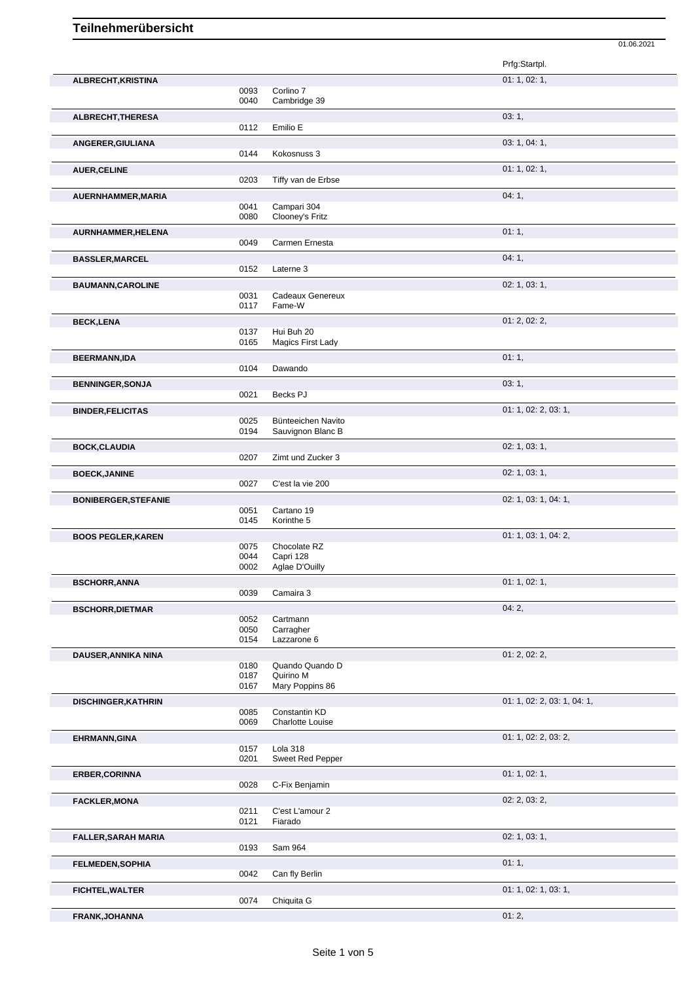|                             |                      |                                                 | Prfg:Startpl.               |
|-----------------------------|----------------------|-------------------------------------------------|-----------------------------|
| ALBRECHT, KRISTINA          | 0093<br>0040         | Corlino 7<br>Cambridge 39                       | 01: 1, 02: 1,               |
| ALBRECHT, THERESA           | 0112                 | Emilio E                                        | 03:1,                       |
| ANGERER, GIULIANA           | 0144                 | Kokosnuss 3                                     | 03: 1, 04: 1,               |
| <b>AUER, CELINE</b>         | 0203                 | Tiffy van de Erbse                              | 01: 1, 02: 1,               |
| AUERNHAMMER, MARIA          | 0041                 | Campari 304                                     | 04:1,                       |
| AURNHAMMER, HELENA          | 0080                 | Clooney's Fritz                                 | 01:1,                       |
| <b>BASSLER, MARCEL</b>      | 0049                 | Carmen Ernesta                                  | 04:1,                       |
| <b>BAUMANN, CAROLINE</b>    | 0152<br>0031         | Laterne 3<br>Cadeaux Genereux                   | 02: 1, 03: 1,               |
| <b>BECK,LENA</b>            | 0117<br>0137         | Fame-W<br>Hui Buh 20                            | 01: 2, 02: 2,               |
| <b>BEERMANN,IDA</b>         | 0165<br>0104         | Magics First Lady<br>Dawando                    | 01:1,                       |
| <b>BENNINGER, SONJA</b>     | 0021                 | Becks PJ                                        | 03:1,                       |
| <b>BINDER, FELICITAS</b>    | 0025<br>0194         | Bünteeichen Navito<br>Sauvignon Blanc B         | 01: 1, 02: 2, 03: 1,        |
| <b>BOCK, CLAUDIA</b>        | 0207                 | Zimt und Zucker 3                               | 02: 1, 03: 1,               |
| <b>BOECK, JANINE</b>        | 0027                 | C'est la vie 200                                | 02: 1, 03: 1,               |
| <b>BONIBERGER, STEFANIE</b> | 0051<br>0145         | Cartano 19<br>Korinthe 5                        | 02: 1, 03: 1, 04: 1,        |
| <b>BOOS PEGLER, KAREN</b>   | 0075<br>0044<br>0002 | Chocolate RZ<br>Capri 128<br>Aglae D'Ouilly     | 01: 1, 03: 1, 04: 2,        |
| <b>BSCHORR, ANNA</b>        | 0039                 | Camaira 3                                       | 01: 1, 02: 1,               |
| <b>BSCHORR, DIETMAR</b>     | 0052<br>0050<br>0154 | Cartmann<br>Carragher<br>Lazzarone 6            | 04:2,                       |
| DAUSER, ANNIKA NINA         | 0180<br>0187<br>0167 | Quando Quando D<br>Quirino M<br>Mary Poppins 86 | 01: 2, 02: 2,               |
| <b>DISCHINGER, KATHRIN</b>  | 0085<br>0069         | Constantin KD<br>Charlotte Louise               | 01: 1, 02: 2, 03: 1, 04: 1, |
| EHRMANN, GINA               | 0157<br>0201         | Lola 318<br>Sweet Red Pepper                    | 01: 1, 02: 2, 03: 2,        |
| <b>ERBER, CORINNA</b>       | 0028                 | C-Fix Benjamin                                  | 01: 1, 02: 1,               |
| <b>FACKLER, MONA</b>        | 0211<br>0121         | C'est L'amour 2<br>Fiarado                      | 02: 2, 03: 2,               |
| <b>FALLER, SARAH MARIA</b>  | 0193                 | Sam 964                                         | 02: 1, 03: 1,               |
| <b>FELMEDEN, SOPHIA</b>     | 0042                 | Can fly Berlin                                  | 01:1,                       |
| <b>FICHTEL, WALTER</b>      | 0074                 | Chiquita G                                      | 01: 1, 02: 1, 03: 1,        |
| FRANK, JOHANNA              |                      |                                                 | 01:2,                       |

01.06.2021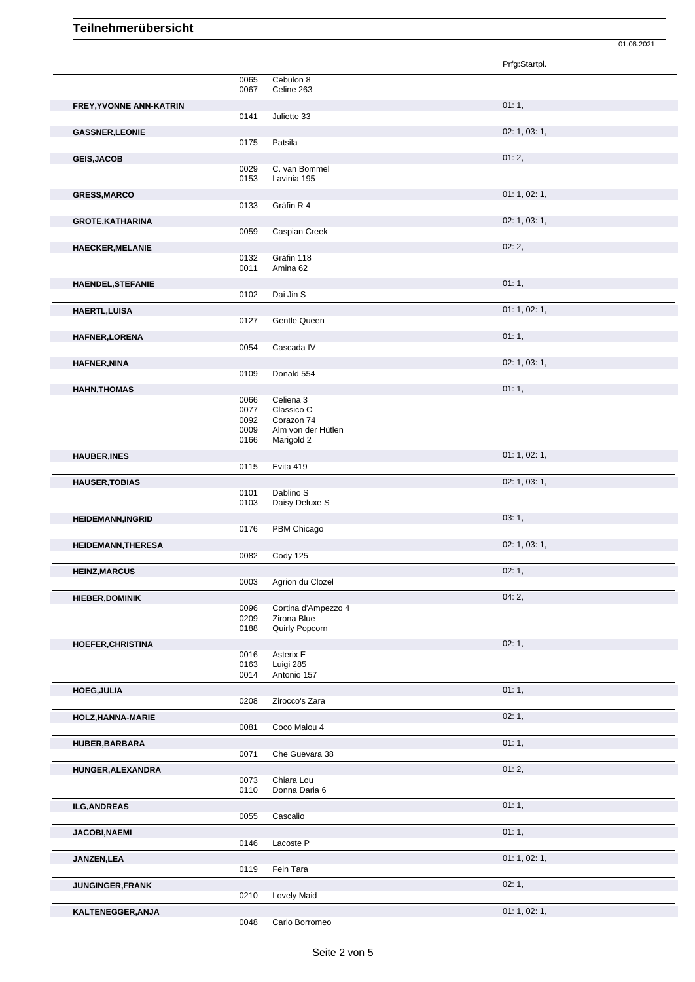|                           |              |                                  | Prfg:Startpl. |
|---------------------------|--------------|----------------------------------|---------------|
|                           | 0065         | Cebulon 8                        |               |
| FREY, YVONNE ANN-KATRIN   | 0067         | Celine 263                       | 01:1,         |
|                           | 0141         | Juliette 33                      |               |
| <b>GASSNER, LEONIE</b>    |              |                                  | 02: 1, 03: 1, |
|                           | 0175         | Patsila                          |               |
| <b>GEIS, JACOB</b>        | 0029         | C. van Bommel                    | 01:2,         |
|                           | 0153         | Lavinia 195                      |               |
| <b>GRESS, MARCO</b>       | 0133         | Gräfin R 4                       | 01: 1, 02: 1, |
| <b>GROTE, KATHARINA</b>   |              |                                  | 02: 1, 03: 1, |
|                           | 0059         | Caspian Creek                    |               |
| <b>HAECKER, MELANIE</b>   |              |                                  | 02:2,         |
|                           | 0132<br>0011 | Gräfin 118<br>Amina 62           |               |
| <b>HAENDEL, STEFANIE</b>  |              |                                  | 01:1,         |
|                           | 0102         | Dai Jin S                        |               |
| <b>HAERTL, LUISA</b>      |              |                                  | 01: 1, 02: 1, |
|                           | 0127         | Gentle Queen                     |               |
| <b>HAFNER, LORENA</b>     | 0054         | Cascada IV                       | 01:1,         |
| <b>HAFNER, NINA</b>       |              |                                  | 02: 1, 03: 1, |
|                           | 0109         | Donald 554                       |               |
| <b>HAHN, THOMAS</b>       | 0066         | Celiena 3                        | 01:1,         |
|                           | 0077         | Classico C                       |               |
|                           | 0092<br>0009 | Corazon 74<br>Alm von der Hütlen |               |
|                           | 0166         | Marigold 2                       |               |
| <b>HAUBER, INES</b>       |              |                                  | 01: 1, 02: 1, |
|                           | 0115         | Evita 419                        |               |
| <b>HAUSER, TOBIAS</b>     | 0101         | Dablino S                        | 02: 1, 03: 1, |
|                           | 0103         | Daisy Deluxe S                   |               |
| <b>HEIDEMANN, INGRID</b>  |              |                                  | 03:1,         |
|                           | 0176         | PBM Chicago                      | 02: 1, 03: 1, |
| <b>HEIDEMANN, THERESA</b> | 0082         | Cody 125                         |               |
| <b>HEINZ, MARCUS</b>      |              |                                  | 02:1          |
|                           | 0003         | Agrion du Clozel                 |               |
| <b>HIEBER,DOMINIK</b>     | 0096         | Cortina d'Ampezzo 4              | 04:2,         |
|                           | 0209         | Zirona Blue                      |               |
|                           | 0188         | Quirly Popcorn                   |               |
| HOEFER, CHRISTINA         | 0016         | Asterix E                        | 02:1,         |
|                           | 0163<br>0014 | Luigi 285<br>Antonio 157         |               |
| <b>HOEG, JULIA</b>        |              |                                  | 01:1,         |
|                           | 0208         | Zirocco's Zara                   |               |
| HOLZ, HANNA-MARIE         |              |                                  | 02:1,         |
|                           | 0081         | Coco Malou 4                     |               |
| HUBER, BARBARA            | 0071         | Che Guevara 38                   | 01:1,         |
| HUNGER, ALEXANDRA         |              |                                  | 01:2,         |
|                           | 0073         | Chiara Lou                       |               |
|                           | 0110         | Donna Daria 6                    |               |
| <b>ILG, ANDREAS</b>       | 0055         | Cascalio                         | 01:1,         |
| <b>JACOBI, NAEMI</b>      |              |                                  | 01:1,         |
|                           | 0146         | Lacoste P                        |               |
| JANZEN, LEA               |              |                                  | 01: 1, 02: 1, |
|                           | 0119         | Fein Tara                        | 02:1,         |
| JUNGINGER, FRANK          | 0210         | <b>Lovely Maid</b>               |               |

01.06.2021

**KALTENEGGER, ANJA** 0048 Carlo Borromeo 01: 1, 02: 1, Carlo Borromeo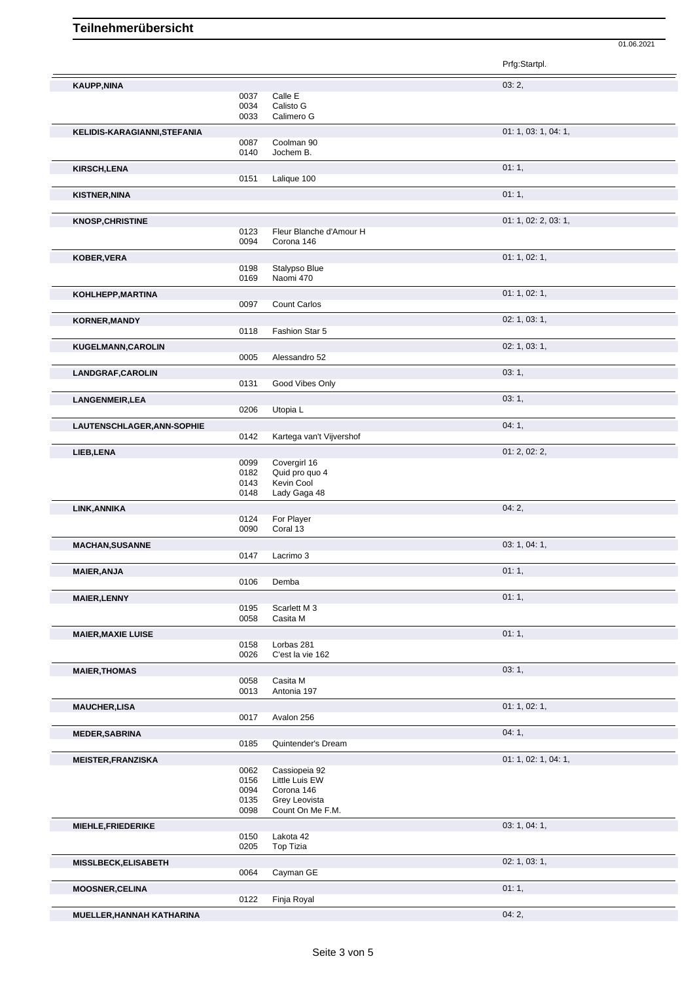|                              |              |                                | Prfg:Startpl.        |
|------------------------------|--------------|--------------------------------|----------------------|
| <b>KAUPP,NINA</b>            |              |                                | 03:2,                |
|                              | 0037         | Calle E                        |                      |
|                              | 0034         | Calisto G                      |                      |
|                              | 0033         | Calimero G                     |                      |
| KELIDIS-KARAGIANNI, STEFANIA |              |                                | 01: 1, 03: 1, 04: 1, |
|                              | 0087         | Coolman 90                     |                      |
|                              | 0140         | Jochem B.                      |                      |
| <b>KIRSCH,LENA</b>           |              |                                | 01:1,                |
|                              | 0151         | Lalique 100                    |                      |
| <b>KISTNER, NINA</b>         |              |                                | 01:1,                |
|                              |              |                                |                      |
| <b>KNOSP, CHRISTINE</b>      |              |                                | 01: 1, 02: 2, 03: 1, |
|                              | 0123         | Fleur Blanche d'Amour H        |                      |
|                              | 0094         | Corona 146                     |                      |
| KOBER, VERA                  |              |                                | 01: 1, 02: 1,        |
|                              | 0198         | Stalypso Blue                  |                      |
|                              | 0169         | Naomi 470                      |                      |
| KOHLHEPP, MARTINA            |              |                                | 01: 1, 02: 1,        |
|                              | 0097         | Count Carlos                   |                      |
| <b>KORNER, MANDY</b>         |              |                                | 02: 1, 03: 1,        |
|                              | 0118         | Fashion Star 5                 |                      |
|                              |              |                                | 02: 1, 03: 1,        |
| KUGELMANN, CAROLIN           | 0005         | Alessandro 52                  |                      |
|                              |              |                                |                      |
| LANDGRAF, CAROLIN            | 0131         | Good Vibes Only                | 03:1,                |
|                              |              |                                |                      |
| LANGENMEIR, LEA              | 0206         |                                | 03:1,                |
|                              |              | Utopia L                       |                      |
| LAUTENSCHLAGER, ANN-SOPHIE   |              |                                | 04:1,                |
|                              | 0142         | Kartega van't Vijvershof       |                      |
| LIEB, LENA                   |              |                                | 01: 2, 02: 2,        |
|                              | 0099<br>0182 | Covergirl 16<br>Quid pro quo 4 |                      |
|                              | 0143         | Kevin Cool                     |                      |
|                              | 0148         | Lady Gaga 48                   |                      |
| LINK, ANNIKA                 |              |                                | 04:2,                |
|                              | 0124         | For Player                     |                      |
|                              | 0090         | Coral 13                       |                      |
| <b>MACHAN, SUSANNE</b>       |              |                                | 03: 1, 04: 1,        |
|                              | 0147         | Lacrimo 3                      |                      |
| <b>MAIER, ANJA</b>           |              |                                | 01:1,                |
|                              | 0106         | Demba                          |                      |
|                              |              |                                | 01:1,                |
| <b>MAIER, LENNY</b>          | 0195         | Scarlett M 3                   |                      |
|                              | 0058         | Casita M                       |                      |
| <b>MAIER, MAXIE LUISE</b>    |              |                                | 01:1,                |
|                              | 0158         | Lorbas 281                     |                      |
|                              | 0026         | C'est la vie 162               |                      |
| <b>MAIER, THOMAS</b>         |              |                                | 03:1,                |
|                              | 0058         | Casita M                       |                      |
|                              | 0013         | Antonia 197                    |                      |
| <b>MAUCHER,LISA</b>          |              |                                | 01: 1, 02: 1,        |
|                              | 0017         | Avalon 256                     |                      |
| <b>MEDER, SABRINA</b>        |              |                                | 04:1,                |
|                              | 0185         | Quintender's Dream             |                      |
|                              |              |                                |                      |
| <b>MEISTER, FRANZISKA</b>    | 0062         | Cassiopeia 92                  | 01: 1, 02: 1, 04: 1, |
|                              | 0156         | Little Luis EW                 |                      |
|                              | 0094         | Corona 146                     |                      |
|                              | 0135         | Grey Leovista                  |                      |
|                              | 0098         | Count On Me F.M.               |                      |
| MIEHLE, FRIEDERIKE           |              |                                | 03: 1, 04: 1,        |
|                              | 0150         | Lakota 42                      |                      |
|                              | 0205         | <b>Top Tizia</b>               |                      |
| <b>MISSLBECK, ELISABETH</b>  |              |                                | 02: 1, 03: 1,        |
|                              | 0064         | Cayman GE                      |                      |
| <b>MOOSNER,CELINA</b>        |              |                                | 01:1,                |
|                              | 0122         | Finja Royal                    |                      |

01.06.2021

Finja Royal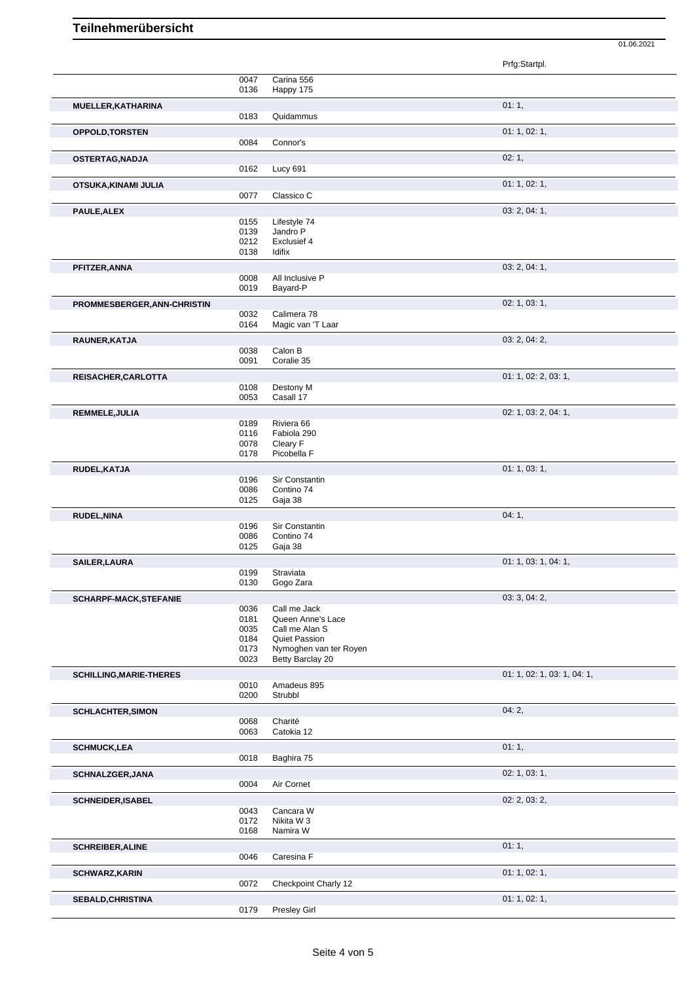|                                |              |                                     | Prfg:Startpl.               |
|--------------------------------|--------------|-------------------------------------|-----------------------------|
|                                | 0047         | Carina 556                          |                             |
|                                | 0136         | Happy 175                           |                             |
| MUELLER, KATHARINA             |              |                                     | 01:1,                       |
|                                | 0183         | Quidammus                           |                             |
| <b>OPPOLD, TORSTEN</b>         |              |                                     | 01: 1, 02: 1,               |
|                                | 0084         | Connor's                            |                             |
| OSTERTAG, NADJA                |              |                                     | 02:1,                       |
|                                | 0162         | <b>Lucy 691</b>                     |                             |
| OTSUKA, KINAMI JULIA           |              |                                     | 01: 1, 02: 1,               |
|                                | 0077         | Classico C                          |                             |
| PAULE, ALEX                    |              |                                     | 03: 2, 04: 1,               |
|                                | 0155         | Lifestyle 74                        |                             |
|                                | 0139<br>0212 | Jandro P<br>Exclusief 4             |                             |
|                                | 0138         | Idifix                              |                             |
| PFITZER, ANNA                  |              |                                     | 03: 2, 04: 1,               |
|                                | 0008         | All Inclusive P                     |                             |
|                                | 0019         | Bayard-P                            |                             |
| PROMMESBERGER, ANN-CHRISTIN    |              |                                     | 02: 1, 03: 1,               |
|                                | 0032         | Calimera 78                         |                             |
|                                | 0164         | Magic van 'T Laar                   |                             |
| RAUNER, KATJA                  |              |                                     | 03: 2, 04: 2,               |
|                                | 0038<br>0091 | Calon B<br>Coralie 35               |                             |
|                                |              |                                     | 01: 1, 02: 2, 03: 1,        |
| REISACHER, CARLOTTA            | 0108         | Destony M                           |                             |
|                                | 0053         | Casall 17                           |                             |
| REMMELE, JULIA                 |              |                                     | 02: 1, 03: 2, 04: 1,        |
|                                | 0189         | Riviera 66                          |                             |
|                                | 0116         | Fabiola 290                         |                             |
|                                | 0078<br>0178 | Cleary F<br>Picobella F             |                             |
|                                |              |                                     | 01:1,03:1,                  |
| RUDEL, KATJA                   | 0196         | Sir Constantin                      |                             |
|                                | 0086         | Contino 74                          |                             |
|                                | 0125         | Gaja 38                             |                             |
| <b>RUDEL, NINA</b>             |              |                                     | 04:1,                       |
|                                | 0196<br>0086 | Sir Constantin<br>Contino 74        |                             |
|                                | 0125         | Gaja 38                             |                             |
| SAILER, LAURA                  |              |                                     | 01: 1, 03: 1, 04: 1,        |
|                                | 0199         | Straviata                           |                             |
|                                | 0130         | Gogo Zara                           |                             |
| <b>SCHARPF-MACK, STEFANIE</b>  |              |                                     | 03: 3, 04: 2,               |
|                                | 0036         | Call me Jack                        |                             |
|                                | 0181<br>0035 | Queen Anne's Lace<br>Call me Alan S |                             |
|                                | 0184         | <b>Quiet Passion</b>                |                             |
|                                | 0173         | Nymoghen van ter Royen              |                             |
|                                | 0023         | Betty Barclay 20                    |                             |
| <b>SCHILLING, MARIE-THERES</b> |              |                                     | 01: 1, 02: 1, 03: 1, 04: 1, |
|                                | 0010<br>0200 | Amadeus 895<br>Strubbl              |                             |
|                                |              |                                     |                             |
| <b>SCHLACHTER, SIMON</b>       | 0068         | Charité                             | 04:2,                       |
|                                | 0063         | Catokia 12                          |                             |
| <b>SCHMUCK,LEA</b>             |              |                                     | 01:1,                       |
|                                | 0018         | Baghira 75                          |                             |
| <b>SCHNALZGER, JANA</b>        |              |                                     | 02: 1, 03: 1,               |
|                                | 0004         | Air Cornet                          |                             |
| <b>SCHNEIDER, ISABEL</b>       |              |                                     | 02: 2, 03: 2,               |
|                                | 0043         | Cancara W                           |                             |
|                                | 0172         | Nikita W 3                          |                             |
|                                | 0168         | Namira W                            |                             |
| <b>SCHREIBER, ALINE</b>        |              |                                     | 01:1,                       |
|                                | 0046         | Caresina F                          |                             |
| <b>SCHWARZ, KARIN</b>          |              |                                     | 01: 1, 02: 1,               |
|                                | 0072         | Checkpoint Charly 12                |                             |
| <b>SEBALD, CHRISTINA</b>       |              |                                     | 01: 1, 02: 1,               |
|                                | 0179         | Presley Girl                        |                             |

01.06.2021